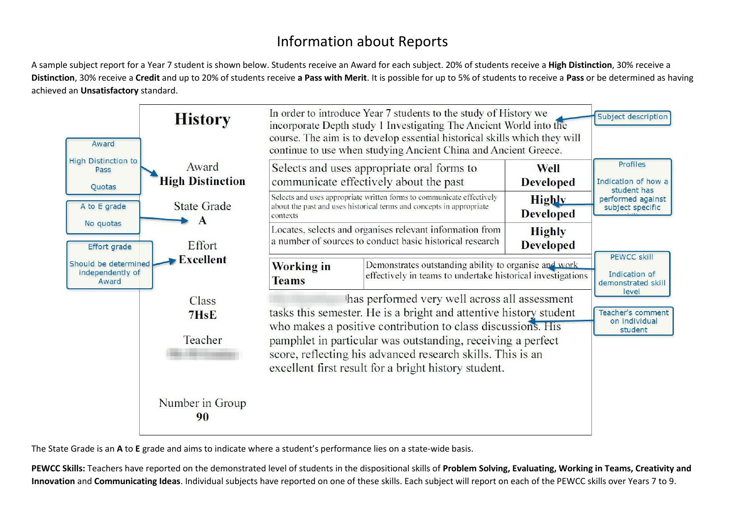## Information about Reports

A sample subject report for a Year 7 student is shown below. Students receive an Award for each subject. 20% of students receive a **High Distinction**, 30% receive a **Distinction**, 30% receive a **Credit** and up to 20% of students receive **a Pass with Merit**. It is possible for up to 5% of students to receive a **Pass** or be determined as having achieved an **Unsatisfactory** standard.

| Award                                                                                 | <b>History</b>                     |                                                                                                                                                                                   | In order to introduce Year 7 students to the study of History we<br>incorporate Depth study 1 Investigating The Ancient World into the<br>course. The aim is to develop essential historical skills which they will<br>continue to use when studying Ancient China and Ancient Greece. |                                   | Subject description                            |
|---------------------------------------------------------------------------------------|------------------------------------|-----------------------------------------------------------------------------------------------------------------------------------------------------------------------------------|----------------------------------------------------------------------------------------------------------------------------------------------------------------------------------------------------------------------------------------------------------------------------------------|-----------------------------------|------------------------------------------------|
| <b>High Distinction to</b><br>Pass<br>Quotas                                          | Award<br><b>High Distinction</b>   |                                                                                                                                                                                   | Selects and uses appropriate oral forms to<br>communicate effectively about the past                                                                                                                                                                                                   | Well<br><b>Developed</b>          | Profiles<br>Indication of how a<br>student has |
| A to E grade                                                                          | <b>State Grade</b><br>$\mathbf{A}$ | Selects and uses appropriate written forms to communicate effectively<br>about the past and uses historical terms and concepts in appropriate<br>contexts                         |                                                                                                                                                                                                                                                                                        | Highly<br><b>Developed</b>        | performed against<br>subject specific          |
| No quotas<br><b>Effort grade</b><br>Should be determined<br>independently of<br>Award | Effort                             |                                                                                                                                                                                   | Locates, selects and organises relevant information from<br>a number of sources to conduct basic historical research                                                                                                                                                                   | <b>Highly</b><br><b>Developed</b> | <b>PEWCC skill</b>                             |
|                                                                                       | Excellent                          | Working in<br><b>Teams</b>                                                                                                                                                        | Demonstrates outstanding ability to organise and work<br>effectively in teams to undertake historical investigations                                                                                                                                                                   | demonstrated skill                |                                                |
|                                                                                       | <b>Class</b><br>7HsE               | has performed very well across all assessment<br>tasks this semester. He is a bright and attentive history student<br>who makes a positive contribution to class discussions. His | level<br>Teacher's comment<br>on individual<br>student                                                                                                                                                                                                                                 |                                   |                                                |
|                                                                                       | Teacher                            | pamphlet in particular was outstanding, receiving a perfect<br>score, reflecting his advanced research skills. This is an<br>excellent first result for a bright history student. |                                                                                                                                                                                                                                                                                        |                                   |                                                |
|                                                                                       | Number in Group<br>90              |                                                                                                                                                                                   |                                                                                                                                                                                                                                                                                        |                                   |                                                |

The State Grade is an A to E grade and aims to indicate where a student's performance lies on a state-wide basis.

PEWCC Skills: Teachers have reported on the demonstrated level of students in the dispositional skills of Problem Solving, Evaluating, Working in Teams, Creativity and **Innovation** and **Communicating Ideas**. Individual subjects have reported on one of these skills. Each subject will report on each of the PEWCC skills over Years 7 to 9.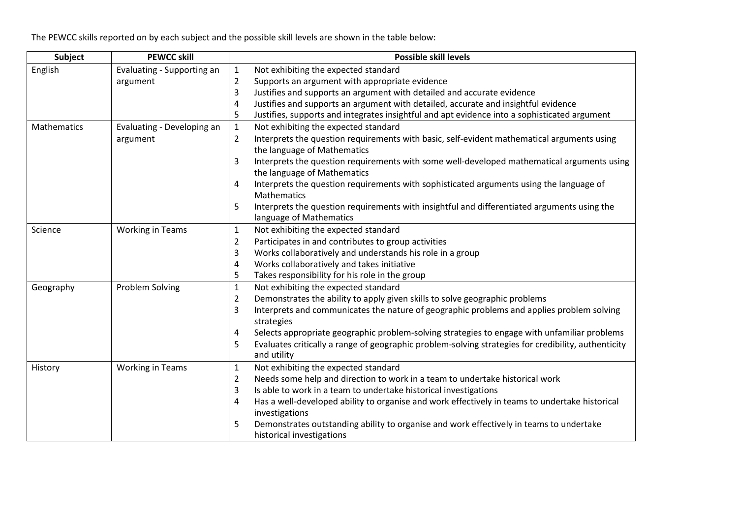The PEWCC skills reported on by each subject and the possible skill levels are shown in the table below:

| Subject            | <b>PEWCC skill</b>         | <b>Possible skill levels</b>                                                                                                                |
|--------------------|----------------------------|---------------------------------------------------------------------------------------------------------------------------------------------|
| English            | Evaluating - Supporting an | $\mathbf{1}$<br>Not exhibiting the expected standard                                                                                        |
|                    | argument                   | $\overline{2}$<br>Supports an argument with appropriate evidence                                                                            |
|                    |                            | 3<br>Justifies and supports an argument with detailed and accurate evidence                                                                 |
|                    |                            | Justifies and supports an argument with detailed, accurate and insightful evidence<br>4                                                     |
|                    |                            | Justifies, supports and integrates insightful and apt evidence into a sophisticated argument<br>5                                           |
| <b>Mathematics</b> | Evaluating - Developing an | Not exhibiting the expected standard<br>$\mathbf{1}$                                                                                        |
|                    | argument                   | Interprets the question requirements with basic, self-evident mathematical arguments using<br>$\overline{2}$<br>the language of Mathematics |
|                    |                            | Interprets the question requirements with some well-developed mathematical arguments using<br>3<br>the language of Mathematics              |
|                    |                            | Interprets the question requirements with sophisticated arguments using the language of<br>4<br>Mathematics                                 |
|                    |                            | Interprets the question requirements with insightful and differentiated arguments using the<br>5<br>language of Mathematics                 |
| Science            | <b>Working in Teams</b>    | Not exhibiting the expected standard<br>$\mathbf{1}$                                                                                        |
|                    |                            | Participates in and contributes to group activities<br>$\overline{2}$                                                                       |
|                    |                            | 3<br>Works collaboratively and understands his role in a group                                                                              |
|                    |                            | Works collaboratively and takes initiative<br>4                                                                                             |
|                    |                            | 5<br>Takes responsibility for his role in the group                                                                                         |
| Geography          | <b>Problem Solving</b>     | Not exhibiting the expected standard<br>$\mathbf{1}$                                                                                        |
|                    |                            | Demonstrates the ability to apply given skills to solve geographic problems<br>$\overline{2}$                                               |
|                    |                            | 3<br>Interprets and communicates the nature of geographic problems and applies problem solving<br>strategies                                |
|                    |                            | Selects appropriate geographic problem-solving strategies to engage with unfamiliar problems<br>4                                           |
|                    |                            | Evaluates critically a range of geographic problem-solving strategies for credibility, authenticity<br>5<br>and utility                     |
| History            | <b>Working in Teams</b>    | Not exhibiting the expected standard<br>$\mathbf{1}$                                                                                        |
|                    |                            | $\overline{2}$<br>Needs some help and direction to work in a team to undertake historical work                                              |
|                    |                            | 3<br>Is able to work in a team to undertake historical investigations                                                                       |
|                    |                            | Has a well-developed ability to organise and work effectively in teams to undertake historical<br>4<br>investigations                       |
|                    |                            | 5<br>Demonstrates outstanding ability to organise and work effectively in teams to undertake<br>historical investigations                   |